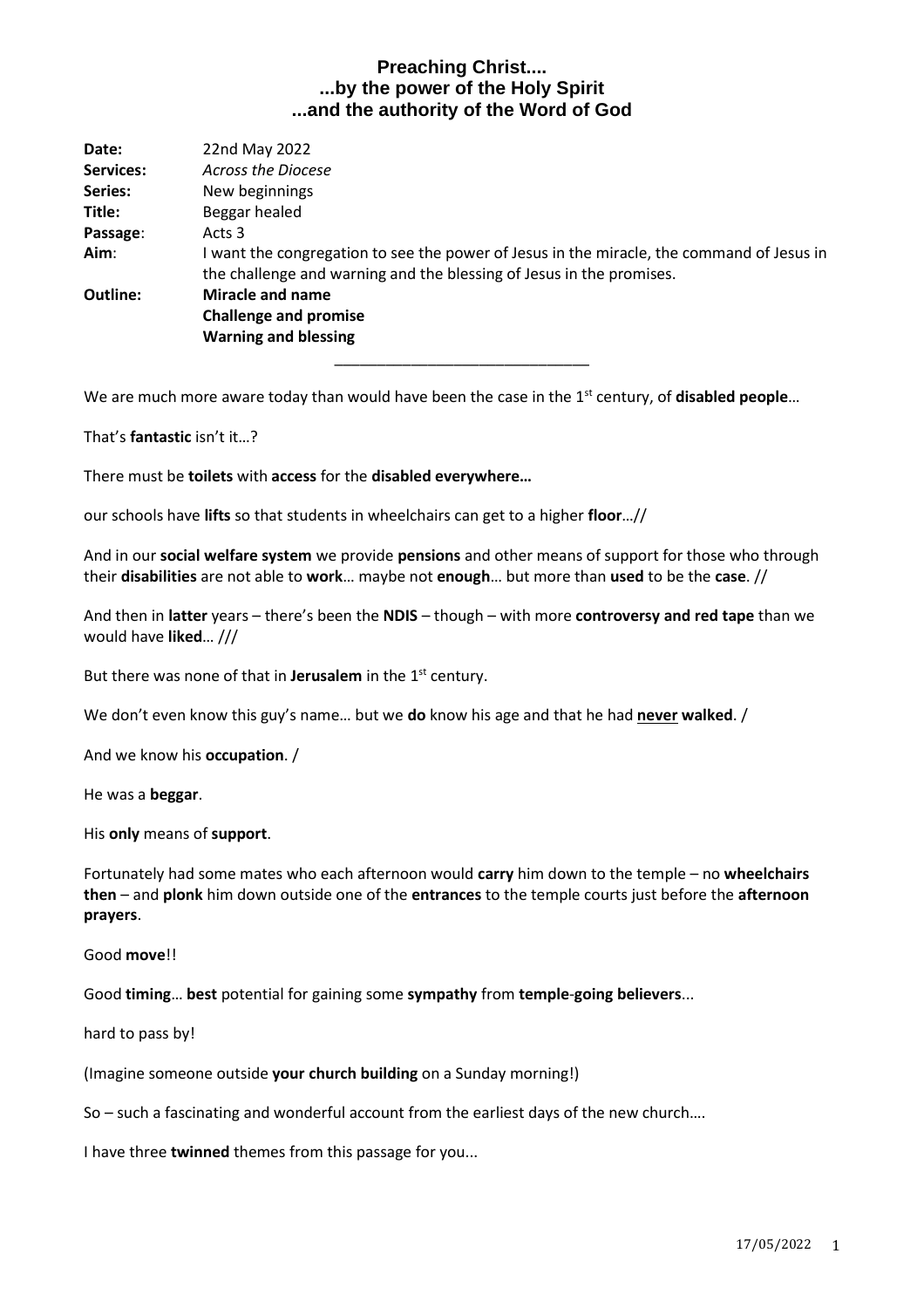| Date:     | 22nd May 2022                                                                                                                                                   |
|-----------|-----------------------------------------------------------------------------------------------------------------------------------------------------------------|
| Services: | Across the Diocese                                                                                                                                              |
| Series:   | New beginnings                                                                                                                                                  |
| Title:    | Beggar healed                                                                                                                                                   |
| Passage:  | Acts 3                                                                                                                                                          |
| Aim:      | want the congregation to see the power of Jesus in the miracle, the command of Jesus in<br>the challenge and warning and the blessing of Jesus in the promises. |
| Outline:  | Miracle and name                                                                                                                                                |
|           | <b>Challenge and promise</b>                                                                                                                                    |
|           | <b>Warning and blessing</b>                                                                                                                                     |
|           |                                                                                                                                                                 |

We are much more aware today than would have been the case in the 1<sup>st</sup> century, of **disabled people**...

That's **fantastic** isn't it…?

There must be **toilets** with **access** for the **disabled everywhere…**

our schools have **lifts** so that students in wheelchairs can get to a higher **floor**…//

And in our **social welfare system** we provide **pensions** and other means of support for those who through their **disabilities** are not able to **work**… maybe not **enough**… but more than **used** to be the **case**. //

And then in **latter** years – there's been the **NDIS** – though – with more **controversy and red tape** than we would have **liked**… ///

But there was none of that in **Jerusalem** in the 1<sup>st</sup> century.

We don't even know this guy's name… but we **do** know his age and that he had **never walked**. /

And we know his **occupation**. /

He was a **beggar**.

His **only** means of **support**.

Fortunately had some mates who each afternoon would **carry** him down to the temple – no **wheelchairs then** – and **plonk** him down outside one of the **entrances** to the temple courts just before the **afternoon prayers**.

Good **move**!!

Good **timing**… **best** potential for gaining some **sympathy** from **temple**-**going believers**...

hard to pass by!

(Imagine someone outside **your church building** on a Sunday morning!)

So – such a fascinating and wonderful account from the earliest days of the new church….

I have three **twinned** themes from this passage for you...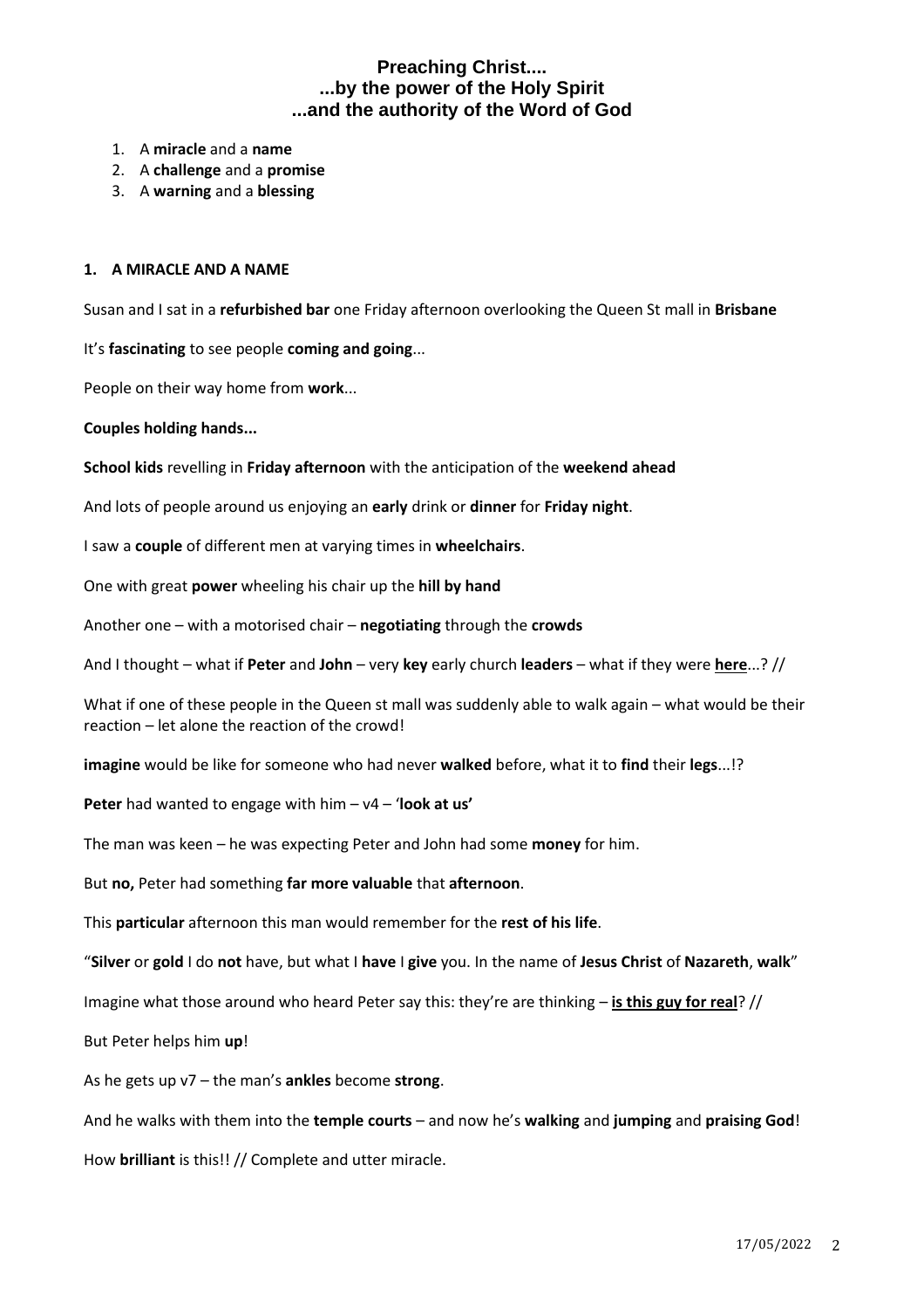- 1. A **miracle** and a **name**
- 2. A **challenge** and a **promise**
- 3. A **warning** and a **blessing**

#### **1. A MIRACLE AND A NAME**

Susan and I sat in a **refurbished bar** one Friday afternoon overlooking the Queen St mall in **Brisbane**

It's **fascinating** to see people **coming and going**...

People on their way home from **work**...

**Couples holding hands...** 

**School kids** revelling in **Friday afternoon** with the anticipation of the **weekend ahead**

And lots of people around us enjoying an **early** drink or **dinner** for **Friday night**.

I saw a **couple** of different men at varying times in **wheelchairs**.

One with great **power** wheeling his chair up the **hill by hand**

Another one – with a motorised chair – **negotiating** through the **crowds**

And I thought – what if **Peter** and **John** – very **key** early church **leaders** – what if they were **here**...? //

What if one of these people in the Queen st mall was suddenly able to walk again – what would be their reaction – let alone the reaction of the crowd!

**imagine** would be like for someone who had never **walked** before, what it to **find** their **legs**...!?

**Peter** had wanted to engage with him – v4 – '**look at us'**

The man was keen – he was expecting Peter and John had some **money** for him.

But **no,** Peter had something **far more valuable** that **afternoon**.

This **particular** afternoon this man would remember for the **rest of his life**.

"**Silver** or **gold** I do **not** have, but what I **have** I **give** you. In the name of **Jesus Christ** of **Nazareth**, **walk**"

Imagine what those around who heard Peter say this: they're are thinking – **is this guy for real**? //

But Peter helps him **up**!

As he gets up v7 – the man's **ankles** become **strong**.

And he walks with them into the **temple courts** – and now he's **walking** and **jumping** and **praising God**!

How **brilliant** is this!! // Complete and utter miracle.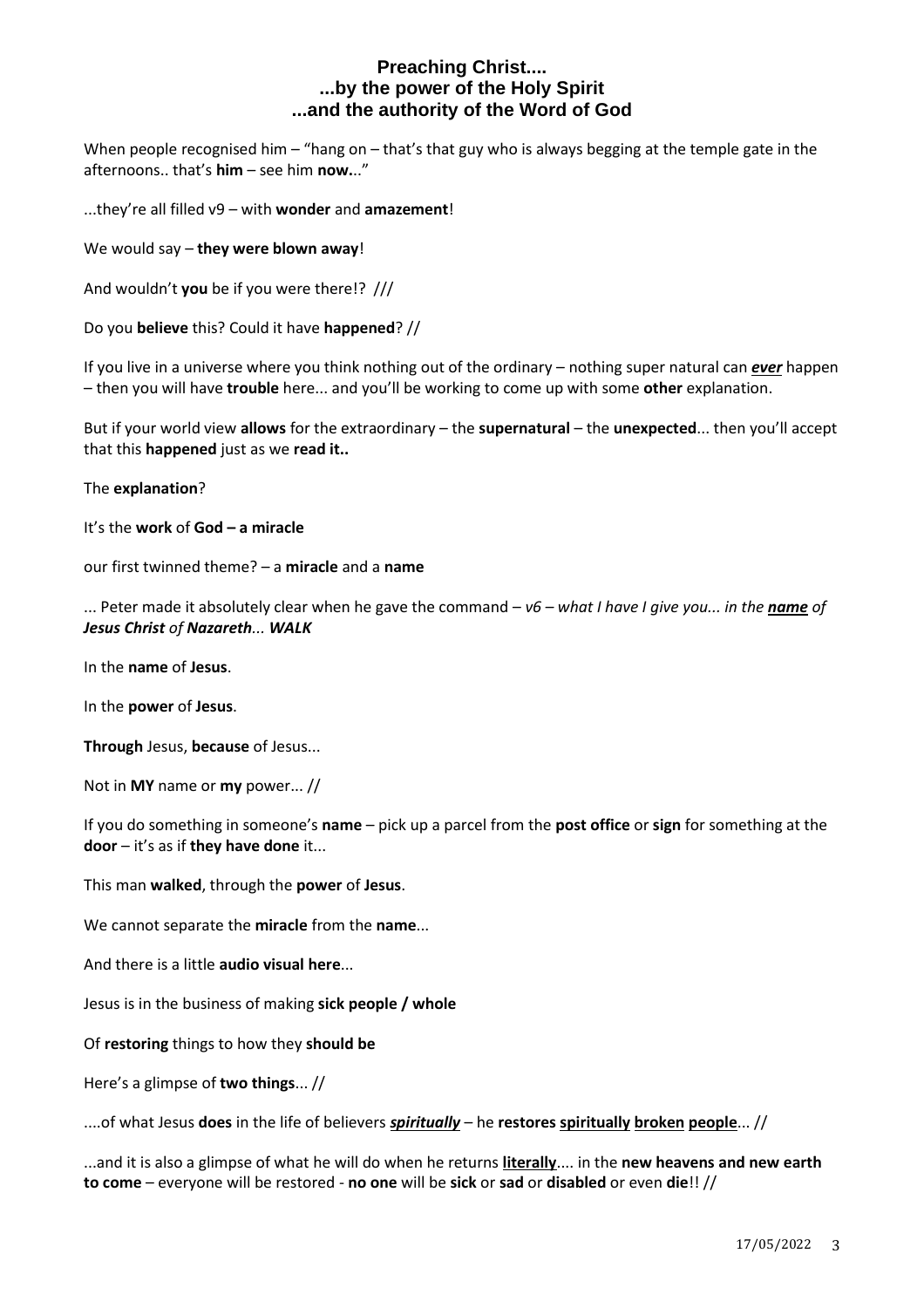When people recognised him – "hang on – that's that guy who is always begging at the temple gate in the afternoons.. that's **him** – see him **now.**.."

...they're all filled v9 – with **wonder** and **amazement**!

We would say – **they were blown away**!

And wouldn't **you** be if you were there!? ///

Do you **believe** this? Could it have **happened**? //

If you live in a universe where you think nothing out of the ordinary – nothing super natural can *ever* happen – then you will have **trouble** here... and you'll be working to come up with some **other** explanation.

But if your world view **allows** for the extraordinary – the **supernatural** – the **unexpected**... then you'll accept that this **happened** just as we **read it..**

The **explanation**?

It's the **work** of **God – a miracle**

our first twinned theme? – a **miracle** and a **name**

... Peter made it absolutely clear when he gave the command – *v6 – what I have I give you... in the name of Jesus Christ of Nazareth... WALK*

In the **name** of **Jesus**.

In the **power** of **Jesus**.

**Through** Jesus, **because** of Jesus...

Not in **MY** name or **my** power... //

If you do something in someone's **name** – pick up a parcel from the **post office** or **sign** for something at the **door** – it's as if **they have done** it...

This man **walked**, through the **power** of **Jesus**.

We cannot separate the **miracle** from the **name**...

And there is a little **audio visual here**...

Jesus is in the business of making **sick people / whole**

Of **restoring** things to how they **should be**

Here's a glimpse of **two things**... //

....of what Jesus **does** in the life of believers *spiritually* – he **restores spiritually broken people**... //

...and it is also a glimpse of what he will do when he returns **literally**.... in the **new heavens and new earth to come** – everyone will be restored - **no one** will be **sick** or **sad** or **disabled** or even **die**!! //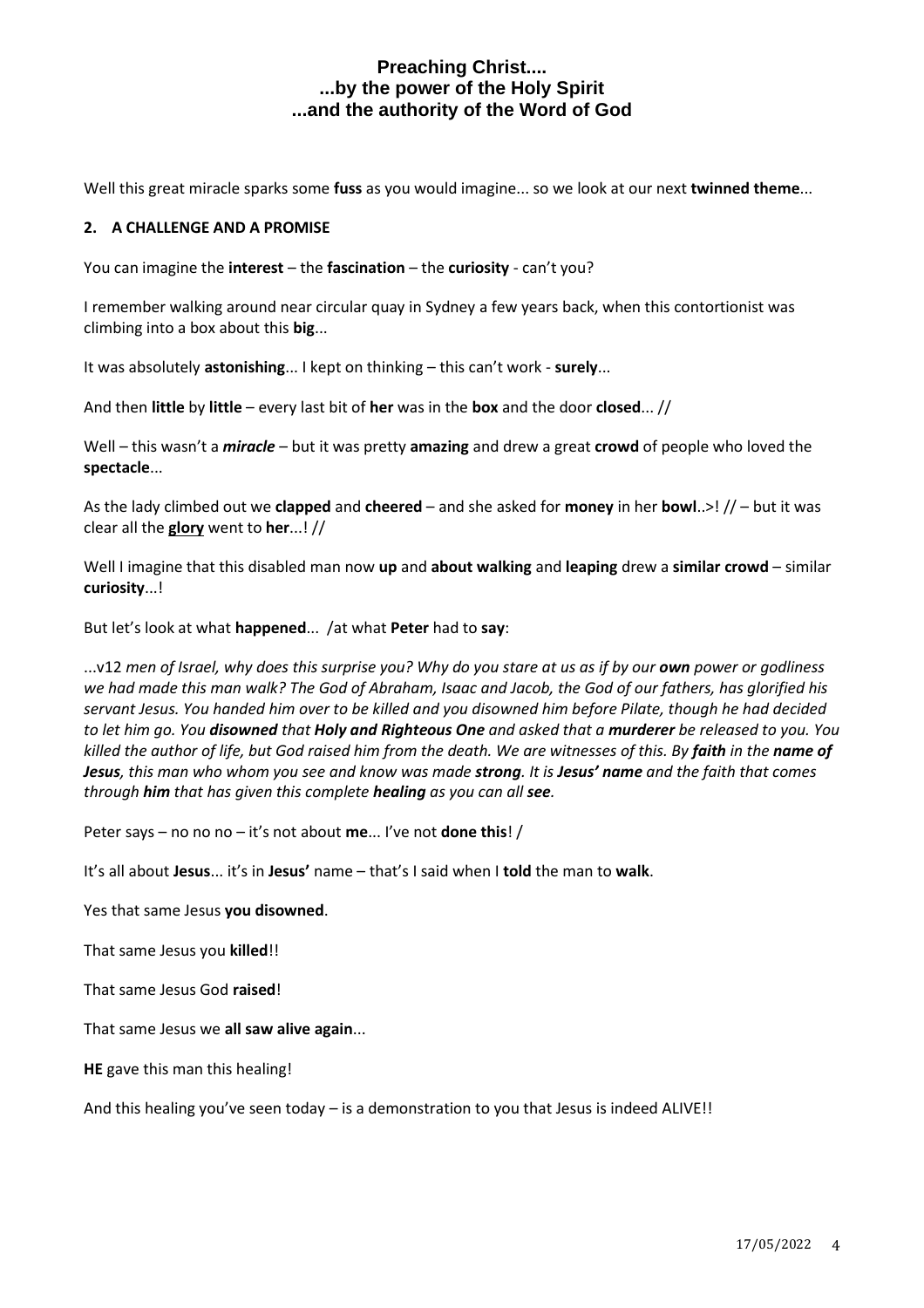Well this great miracle sparks some **fuss** as you would imagine... so we look at our next **twinned theme**...

#### **2. A CHALLENGE AND A PROMISE**

You can imagine the **interest** – the **fascination** – the **curiosity** - can't you?

I remember walking around near circular quay in Sydney a few years back, when this contortionist was climbing into a box about this **big**...

It was absolutely **astonishing**... I kept on thinking – this can't work - **surely**...

And then **little** by **little** – every last bit of **her** was in the **box** and the door **closed**... //

Well – this wasn't a *miracle* – but it was pretty **amazing** and drew a great **crowd** of people who loved the **spectacle**...

As the lady climbed out we **clapped** and **cheered** – and she asked for **money** in her **bowl**..>! // – but it was clear all the **glory** went to **her**...! //

Well I imagine that this disabled man now **up** and **about walking** and **leaping** drew a **similar crowd** – similar **curiosity**...!

But let's look at what **happened**... /at what **Peter** had to **say**:

...v12 *men of Israel, why does this surprise you? Why do you stare at us as if by our own power or godliness we had made this man walk? The God of Abraham, Isaac and Jacob, the God of our fathers, has glorified his servant Jesus. You handed him over to be killed and you disowned him before Pilate, though he had decided to let him go. You disowned that Holy and Righteous One and asked that a murderer be released to you. You killed the author of life, but God raised him from the death. We are witnesses of this. By faith in the name of Jesus, this man who whom you see and know was made strong. It is Jesus' name and the faith that comes through him that has given this complete healing as you can all see.*

Peter says – no no no – it's not about **me**... I've not **done this**! /

It's all about **Jesus**... it's in **Jesus'** name – that's I said when I **told** the man to **walk**.

Yes that same Jesus **you disowned**.

That same Jesus you **killed**!!

That same Jesus God **raised**!

That same Jesus we **all saw alive again**...

**HE** gave this man this healing!

And this healing you've seen today – is a demonstration to you that Jesus is indeed ALIVE!!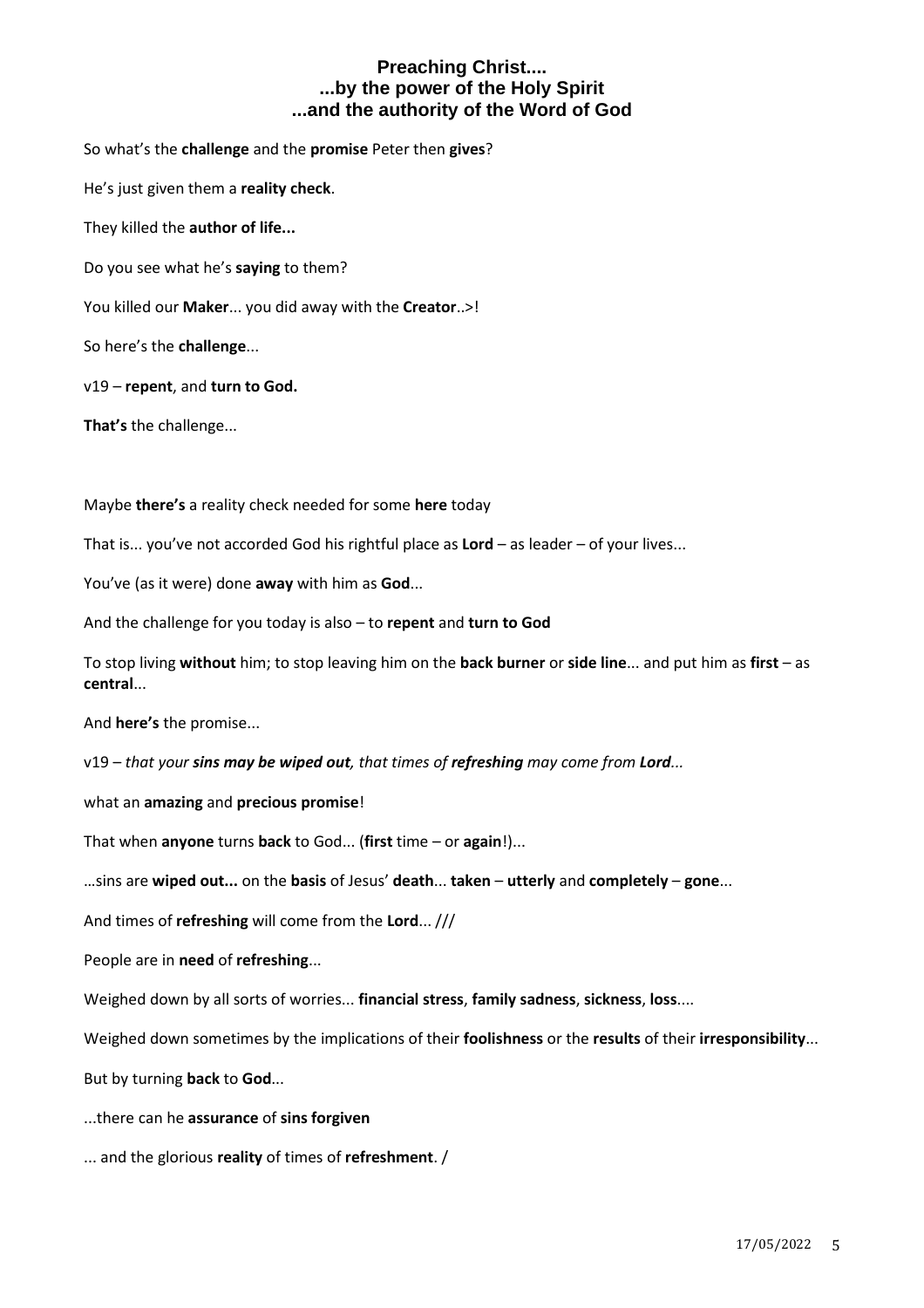So what's the **challenge** and the **promise** Peter then **gives**?

He's just given them a **reality check**.

They killed the **author of life...**

Do you see what he's **saying** to them?

You killed our **Maker**... you did away with the **Creator**..>!

So here's the **challenge**...

v19 – **repent**, and **turn to God.**

**That's** the challenge...

Maybe **there's** a reality check needed for some **here** today

That is... you've not accorded God his rightful place as **Lord** – as leader – of your lives...

You've (as it were) done **away** with him as **God**...

And the challenge for you today is also – to **repent** and **turn to God**

To stop living **without** him; to stop leaving him on the **back burner** or **side line**... and put him as **first** – as **central**...

And **here's** the promise...

v19 – *that your sins may be wiped out, that times of refreshing may come from Lord...*

what an **amazing** and **precious promise**!

That when **anyone** turns **back** to God... (**first** time – or **again**!)...

…sins are **wiped out...** on the **basis** of Jesus' **death**... **taken** – **utterly** and **completely** – **gone**...

And times of **refreshing** will come from the **Lord**... ///

People are in **need** of **refreshing**...

Weighed down by all sorts of worries... **financial stress**, **family sadness**, **sickness**, **loss**....

Weighed down sometimes by the implications of their **foolishness** or the **results** of their **irresponsibility**...

But by turning **back** to **God**...

...there can he **assurance** of **sins forgiven**

... and the glorious **reality** of times of **refreshment**. /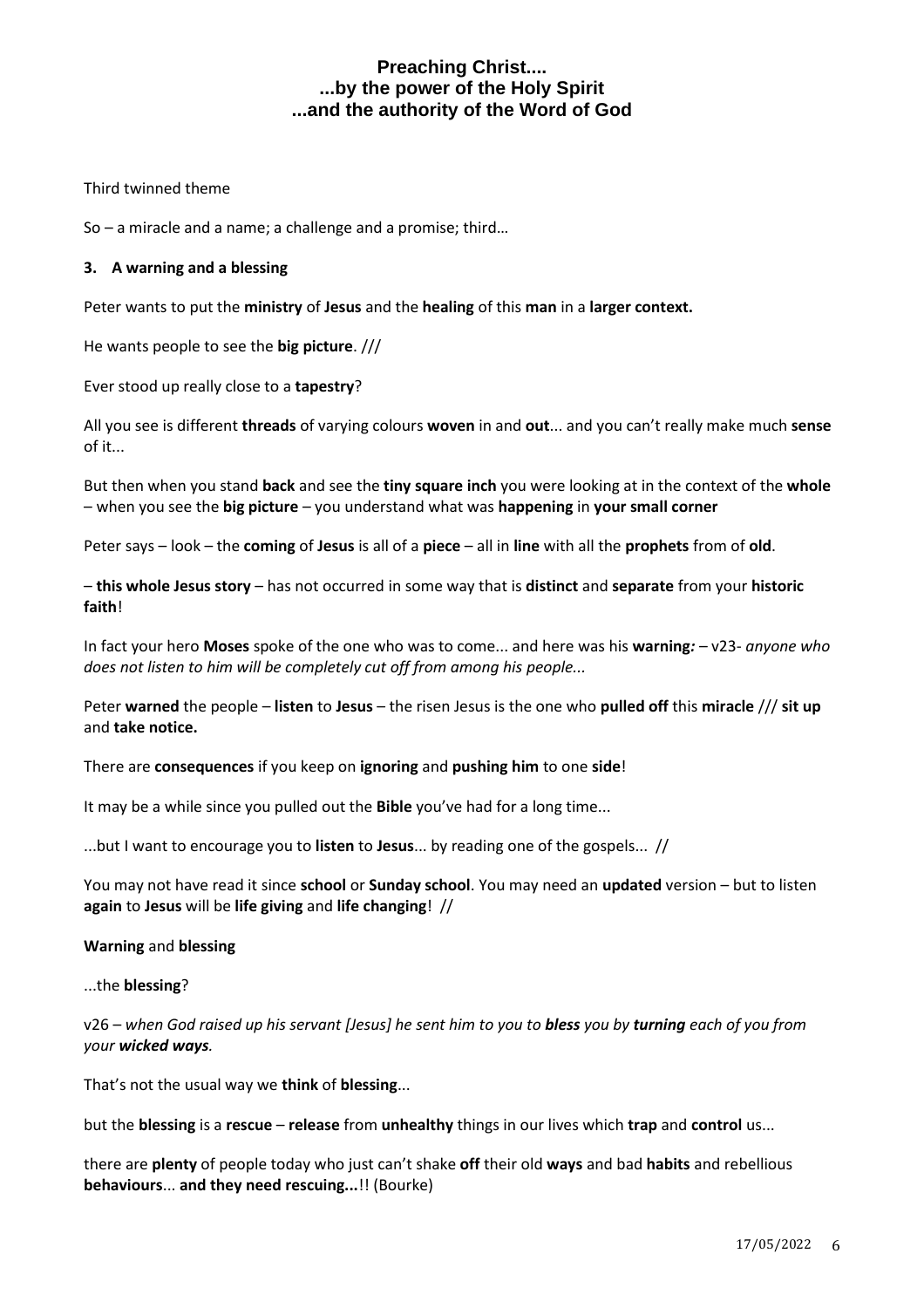Third twinned theme

So – a miracle and a name; a challenge and a promise; third…

#### **3. A warning and a blessing**

Peter wants to put the **ministry** of **Jesus** and the **healing** of this **man** in a **larger context.**

He wants people to see the **big picture**. ///

Ever stood up really close to a **tapestry**?

All you see is different **threads** of varying colours **woven** in and **out**... and you can't really make much **sense** of it...

But then when you stand **back** and see the **tiny square inch** you were looking at in the context of the **whole** – when you see the **big picture** – you understand what was **happening** in **your small corner**

Peter says – look – the **coming** of **Jesus** is all of a **piece** – all in **line** with all the **prophets** from of **old**.

– **this whole Jesus story** – has not occurred in some way that is **distinct** and **separate** from your **historic faith**!

In fact your hero **Moses** spoke of the one who was to come... and here was his **warning***:* – v23- *anyone who does not listen to him will be completely cut off from among his people...*

Peter **warned** the people – **listen** to **Jesus** – the risen Jesus is the one who **pulled off** this **miracle** /// **sit up** and **take notice.**

There are **consequences** if you keep on **ignoring** and **pushing him** to one **side**!

It may be a while since you pulled out the **Bible** you've had for a long time...

...but I want to encourage you to **listen** to **Jesus**... by reading one of the gospels... //

You may not have read it since **school** or **Sunday school**. You may need an **updated** version – but to listen **again** to **Jesus** will be **life giving** and **life changing**! //

#### **Warning** and **blessing**

...the **blessing**?

v26 – *when God raised up his servant [Jesus] he sent him to you to bless you by turning each of you from your wicked ways.*

That's not the usual way we **think** of **blessing**...

but the **blessing** is a **rescue** – **release** from **unhealthy** things in our lives which **trap** and **control** us...

there are **plenty** of people today who just can't shake **off** their old **ways** and bad **habits** and rebellious **behaviours**... **and they need rescuing...**!! (Bourke)